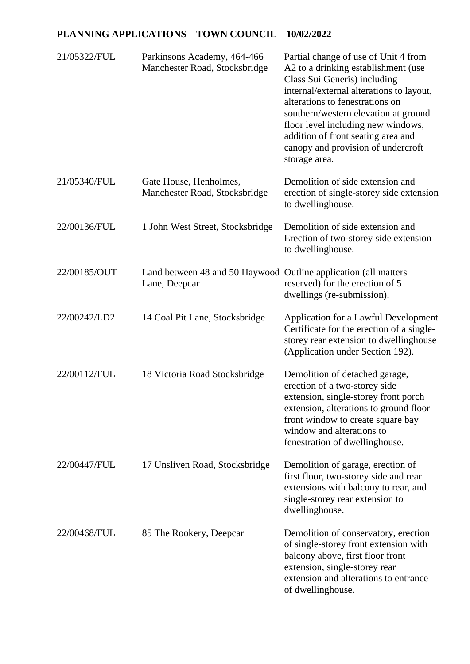## **PLANNING APPLICATIONS – TOWN COUNCIL – 10/02/2022**

| 21/05322/FUL | Parkinsons Academy, 464-466<br>Manchester Road, Stocksbridge                     | Partial change of use of Unit 4 from<br>A2 to a drinking establishment (use<br>Class Sui Generis) including<br>internal/external alterations to layout,<br>alterations to fenestrations on<br>southern/western elevation at ground<br>floor level including new windows,<br>addition of front seating area and<br>can opy and provision of undercroft<br>storage area. |
|--------------|----------------------------------------------------------------------------------|------------------------------------------------------------------------------------------------------------------------------------------------------------------------------------------------------------------------------------------------------------------------------------------------------------------------------------------------------------------------|
| 21/05340/FUL | Gate House, Henholmes,<br>Manchester Road, Stocksbridge                          | Demolition of side extension and<br>erection of single-storey side extension<br>to dwellinghouse.                                                                                                                                                                                                                                                                      |
| 22/00136/FUL | 1 John West Street, Stocksbridge                                                 | Demolition of side extension and<br>Erection of two-storey side extension<br>to dwellinghouse.                                                                                                                                                                                                                                                                         |
| 22/00185/OUT | Land between 48 and 50 Haywood Outline application (all matters<br>Lane, Deepcar | reserved) for the erection of 5<br>dwellings (re-submission).                                                                                                                                                                                                                                                                                                          |
| 22/00242/LD2 | 14 Coal Pit Lane, Stocksbridge                                                   | <b>Application for a Lawful Development</b><br>Certificate for the erection of a single-<br>storey rear extension to dwellinghouse<br>(Application under Section 192).                                                                                                                                                                                                 |
| 22/00112/FUL | 18 Victoria Road Stocksbridge                                                    | Demolition of detached garage,<br>erection of a two-storey side<br>extension, single-storey front porch<br>extension, alterations to ground floor<br>front window to create square bay<br>window and alterations to<br>fenestration of dwellinghouse.                                                                                                                  |
| 22/00447/FUL | 17 Unsliven Road, Stocksbridge                                                   | Demolition of garage, erection of<br>first floor, two-storey side and rear<br>extensions with balcony to rear, and<br>single-storey rear extension to<br>dwellinghouse.                                                                                                                                                                                                |
| 22/00468/FUL | 85 The Rookery, Deepcar                                                          | Demolition of conservatory, erection<br>of single-storey front extension with<br>balcony above, first floor front<br>extension, single-storey rear<br>extension and alterations to entrance<br>of dwellinghouse.                                                                                                                                                       |